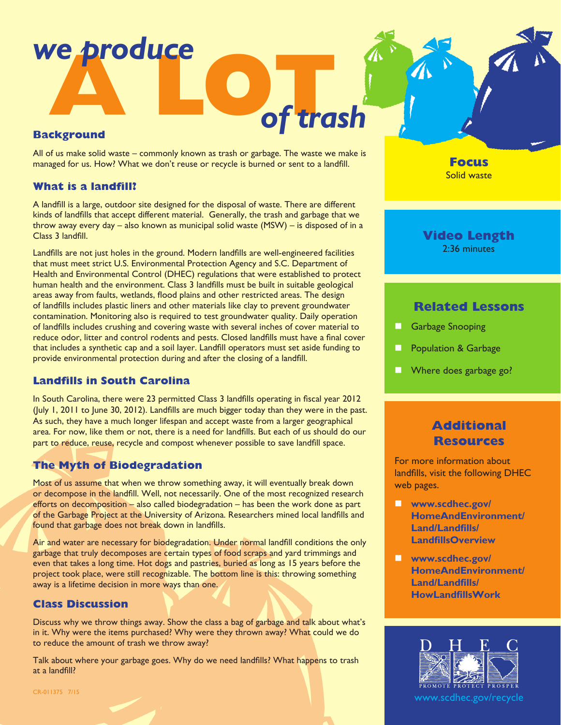# **A LOT***of trash we produce*

### **Background**

All of us make solid waste – commonly known as trash or garbage. The waste we make is managed for us. How? What we don't reuse or recycle is burned or sent to a landfill.

### **What is a landfill?**

A landfill is a large, outdoor site designed for the disposal of waste. There are different kinds of landfills that accept different material. Generally, the trash and garbage that we throw away every day – also known as municipal solid waste (MSW) – is disposed of in a Class 3 landfill.

Landfills are not just holes in the ground. Modern landfills are well-engineered facilities that must meet strict U.S. Environmental Protection Agency and S.C. Department of Health and Environmental Control (DHEC) regulations that were established to protect human health and the environment. Class 3 landfills must be built in suitable geological areas away from faults, wetlands, flood plains and other restricted areas. The design of landfills includes plastic liners and other materials like clay to prevent groundwater contamination. Monitoring also is required to test groundwater quality. Daily operation of landfills includes crushing and covering waste with several inches of cover material to reduce odor, litter and control rodents and pests. Closed landfills must have a final cover that includes a synthetic cap and a soil layer. Landfill operators must set aside funding to provide environmental protection during and after the closing of a landfill.

# **Landfills in South Carolina**

In South Carolina, there were 23 permitted Class 3 landfills operating in fiscal year 2012 (July 1, 2011 to June 30, 2012). Landfills are much bigger today than they were in the past. As such, they have a much longer lifespan and accept waste from a larger geographical area. For now, like them or not, there is a need for landfills. But each of us should do our part to reduce, reuse, recycle and compost whenever possible to save landfill space.

# **The Myth of Biodegradation**

Most of us assume that when we throw something away, it will eventually break down or decompose in the landfill. Well, not necessarily. One of the most recognized research efforts on decomposition – also called biodegradation – has been the work done as part of the Garbage Project at the University of Arizona. Researchers mined local landfills and found that garbage does not break down in landfills.

Air and water are necessary for biodegradation. Under normal landfill conditions the only garbage that truly decomposes are certain types of food scraps and yard trimmings and even that takes a long time. Hot dogs and pastries, buried as long as 15 years before the project took place, were still recognizable. The bottom line is this: throwing something away is a lifetime decision in more ways than one.

# **Class Discussion**

Discuss why we throw things away. Show the class a bag of garbage and talk about what's in it. Why were the items purchased? Why were they thrown away? What could we do to reduce the amount of trash we throw away?

Talk about where your garbage goes. Why do we need landfills? What happens to trash at a landfill?

**Focus** Solid waste

### **Video Length** 2:36 minutes

## **Related Lessons**

- **Garbage Snooping**
- Population & Garbage
- Where does garbage go?

# **Additional Resources**

For more information about landfills, visit the following DHEC web pages.

- **n** [www.scdhec.gov/](http://www.scdhec.gov/HomeAndEnvironment/Land/Landfills/LandfillsOverview) **[HomeAndEnvironment/](http://www.scdhec.gov/HomeAndEnvironment/Land/Landfills/LandfillsOverview) [Land/Landfills/](http://www.scdhec.gov/HomeAndEnvironment/Land/Landfills/LandfillsOverview) [LandfillsOverview](http://www.scdhec.gov/HomeAndEnvironment/Land/Landfills/LandfillsOverview)**
- **n** [www.scdhec.gov/](http://www.scdhec.gov/HomeAndEnvironment/Land/Landfills/HowLandfillsWork) **[HomeAndEnvironment/](http://www.scdhec.gov/HomeAndEnvironment/Land/Landfills/HowLandfillsWork) [Land/Landfills/](http://www.scdhec.gov/HomeAndEnvironment/Land/Landfills/HowLandfillsWork) [HowLandfillsWork](http://www.scdhec.gov/HomeAndEnvironment/Land/Landfills/HowLandfillsWork)**



www.scdhec.gov/recycle

CR-011375 7/15